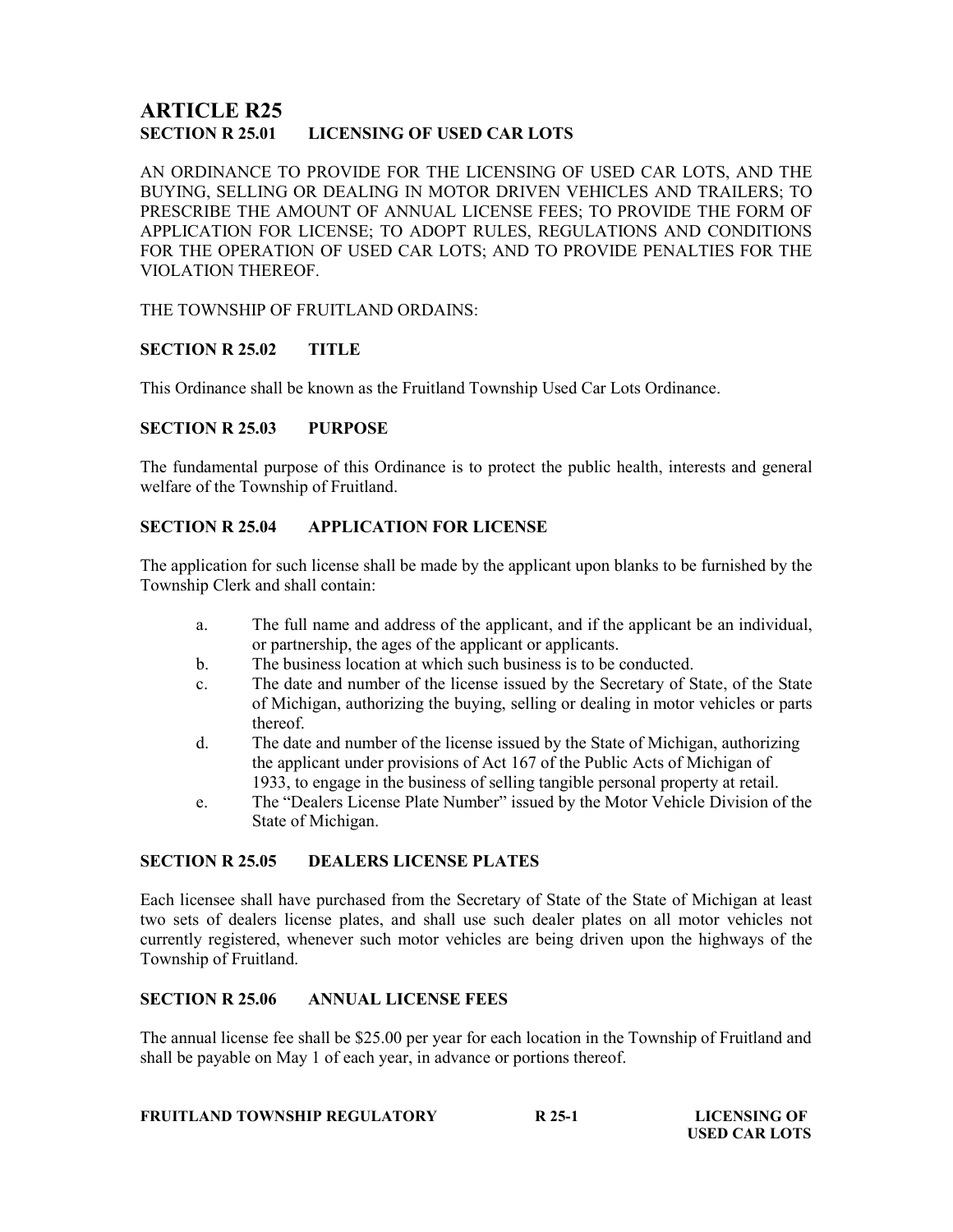# ARTICLE R25 SECTION R 25.01 LICENSING OF USED CAR LOTS

AN ORDINANCE TO PROVIDE FOR THE LICENSING OF USED CAR LOTS, AND THE BUYING, SELLING OR DEALING IN MOTOR DRIVEN VEHICLES AND TRAILERS; TO PRESCRIBE THE AMOUNT OF ANNUAL LICENSE FEES; TO PROVIDE THE FORM OF APPLICATION FOR LICENSE; TO ADOPT RULES, REGULATIONS AND CONDITIONS FOR THE OPERATION OF USED CAR LOTS; AND TO PROVIDE PENALTIES FOR THE VIOLATION THEREOF.

THE TOWNSHIP OF FRUITLAND ORDAINS:

# SECTION R 25.02 TITLE

This Ordinance shall be known as the Fruitland Township Used Car Lots Ordinance.

## SECTION R 25.03 PURPOSE

The fundamental purpose of this Ordinance is to protect the public health, interests and general welfare of the Township of Fruitland.

## SECTION R 25.04 APPLICATION FOR LICENSE

The application for such license shall be made by the applicant upon blanks to be furnished by the Township Clerk and shall contain:

- a. The full name and address of the applicant, and if the applicant be an individual, or partnership, the ages of the applicant or applicants.
- b. The business location at which such business is to be conducted.
- c. The date and number of the license issued by the Secretary of State, of the State of Michigan, authorizing the buying, selling or dealing in motor vehicles or parts thereof.
- d. The date and number of the license issued by the State of Michigan, authorizing the applicant under provisions of Act 167 of the Public Acts of Michigan of 1933, to engage in the business of selling tangible personal property at retail.
- e. The "Dealers License Plate Number" issued by the Motor Vehicle Division of the State of Michigan.

### SECTION R 25.05 DEALERS LICENSE PLATES

Each licensee shall have purchased from the Secretary of State of the State of Michigan at least two sets of dealers license plates, and shall use such dealer plates on all motor vehicles not currently registered, whenever such motor vehicles are being driven upon the highways of the Township of Fruitland.

### SECTION R 25.06 ANNUAL LICENSE FEES

The annual license fee shall be \$25.00 per year for each location in the Township of Fruitland and shall be payable on May 1 of each year, in advance or portions thereof.

|  |  | <b>FRUITLAND TOWNSHIP REGULATORY</b> | R 25-1 |
|--|--|--------------------------------------|--------|
|--|--|--------------------------------------|--------|

**LICENSING OF** USED CAR LOTS